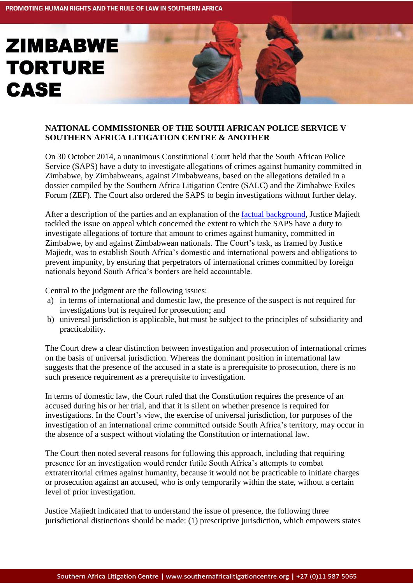## **TORTURE CASE**

**ZIMBABWE** 

## **NATIONAL COMMISSIONER OF THE SOUTH AFRICAN POLICE SERVICE V SOUTHERN AFRICA LITIGATION CENTRE & ANOTHER**

On 30 October 2014, a unanimous Constitutional Court held that the South African Police Service (SAPS) have a duty to investigate allegations of crimes against humanity committed in Zimbabwe, by Zimbabweans, against Zimbabweans, based on the allegations detailed in a dossier compiled by the Southern Africa Litigation Centre (SALC) and the Zimbabwe Exiles Forum (ZEF). The Court also ordered the SAPS to begin investigations without further delay.

After a description of the parties and an explanation of the [factual background,](http://www.southernafricalitigationcentre.org/2012/03/25/the-zimbabwe-torture-docket-and-sas-icc-act-q-a-about-the-case/) Justice Majiedt tackled the issue on appeal which concerned the extent to which the SAPS have a duty to investigate allegations of torture that amount to crimes against humanity, committed in Zimbabwe, by and against Zimbabwean nationals. The Court's task, as framed by Justice Majiedt, was to establish South Africa's domestic and international powers and obligations to prevent impunity, by ensuring that perpetrators of international crimes committed by foreign nationals beyond South Africa's borders are held accountable.

Central to the judgment are the following issues:

- a) in terms of international and domestic law, the presence of the suspect is not required for investigations but is required for prosecution; and
- b) universal jurisdiction is applicable, but must be subject to the principles of subsidiarity and practicability.

The Court drew a clear distinction between investigation and prosecution of international crimes on the basis of universal jurisdiction. Whereas the dominant position in international law suggests that the presence of the accused in a state is a prerequisite to prosecution, there is no such presence requirement as a prerequisite to investigation.

In terms of domestic law, the Court ruled that the Constitution requires the presence of an accused during his or her trial, and that it is silent on whether presence is required for investigations. In the Court's view, the exercise of universal jurisdiction, for purposes of the investigation of an international crime committed outside South Africa's territory, may occur in the absence of a suspect without violating the Constitution or international law.

The Court then noted several reasons for following this approach, including that requiring presence for an investigation would render futile South Africa's attempts to combat extraterritorial crimes against humanity, because it would not be practicable to initiate charges or prosecution against an accused, who is only temporarily within the state, without a certain level of prior investigation.

Justice Majiedt indicated that to understand the issue of presence, the following three jurisdictional distinctions should be made: (1) prescriptive jurisdiction, which empowers states